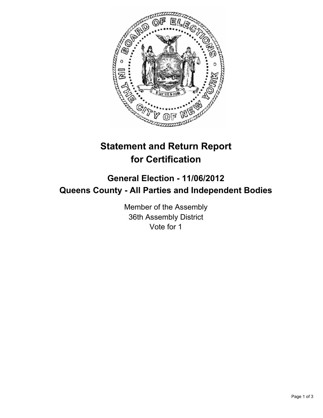

## **Statement and Return Report for Certification**

## **General Election - 11/06/2012 Queens County - All Parties and Independent Bodies**

Member of the Assembly 36th Assembly District Vote for 1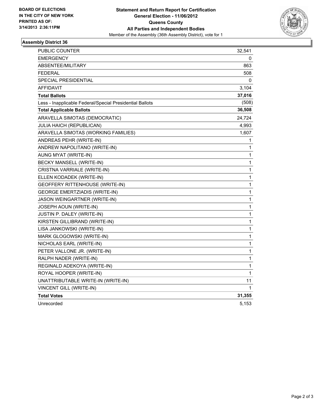

## **Assembly District 36**

| PUBLIC COUNTER                                           | 32,541       |
|----------------------------------------------------------|--------------|
| <b>EMERGENCY</b>                                         | 0            |
| ABSENTEE/MILITARY                                        | 863          |
| <b>FEDERAL</b>                                           | 508          |
| SPECIAL PRESIDENTIAL                                     | 0            |
| AFFIDAVIT                                                | 3,104        |
| <b>Total Ballots</b>                                     | 37,016       |
| Less - Inapplicable Federal/Special Presidential Ballots | (508)        |
| <b>Total Applicable Ballots</b>                          | 36,508       |
| ARAVELLA SIMOTAS (DEMOCRATIC)                            | 24,724       |
| JULIA HAICH (REPUBLICAN)                                 | 4,993        |
| ARAVELLA SIMOTAS (WORKING FAMILIES)                      | 1,607        |
| ANDREAS PEHR (WRITE-IN)                                  | 1            |
| ANDREW NAPOLITANO (WRITE-IN)                             | 1            |
| AUNG MYAT (WRITE-IN)                                     | 1            |
| BECKY MANSELL (WRITE-IN)                                 | 1            |
| CRISTNA VARRIALE (WRITE-IN)                              | 1            |
| ELLEN KODADEK (WRITE-IN)                                 | 1            |
| GEOFFERY RITTENHOUSE (WRITE-IN)                          | 1            |
| <b>GEORGE EMERTZIADIS (WRITE-IN)</b>                     | 1            |
| JASON WEINGARTNER (WRITE-IN)                             | 1            |
| JOSEPH AOUN (WRITE-IN)                                   | $\mathbf 1$  |
| JUSTIN P. DALEY (WRITE-IN)                               | $\mathbf{1}$ |
| KIRSTEN GILLIBRAND (WRITE-IN)                            | 1            |
| LISA JANKOWSKI (WRITE-IN)                                | 1            |
| MARK GLOGOWSKI (WRITE-IN)                                | 1            |
| NICHOLAS EARL (WRITE-IN)                                 | 1            |
| PETER VALLONE JR. (WRITE-IN)                             | 1            |
| RALPH NADER (WRITE-IN)                                   | 1            |
| REGINALD ADEKOYA (WRITE-IN)                              | 1            |
| ROYAL HOOPER (WRITE-IN)                                  | 1            |
| UNATTRIBUTABLE WRITE-IN (WRITE-IN)                       | 11           |
| VINCENT GILL (WRITE-IN)                                  | 1            |
| <b>Total Votes</b>                                       | 31,355       |
| Unrecorded                                               | 5,153        |